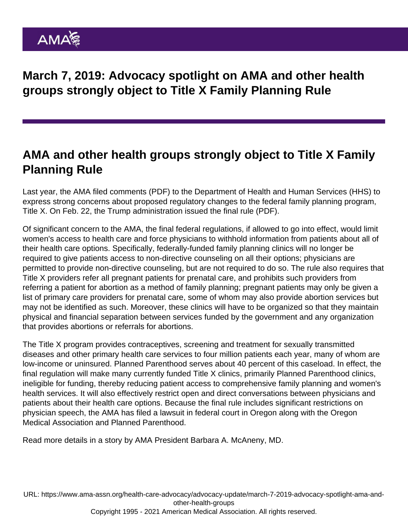March 7, 2019: Advocacy spotlight on AMA and other health groups strongly object to Title X Family Planning Rule

## AMA and other health groups strongly object to Title X Family Planning Rule

Last year, the AMA filed [comments](https://searchlf.ama-assn.org/undefined/documentDownload?uri=/unstructured/binary/letter/LETTERS/2018-7-31-Letter-to-Azar-re-Title-X-Comments.pdf) (PDF) to the Department of Health and Human Services (HHS) to express strong concerns about proposed regulatory changes to the federal family planning program, Title X. On Feb. 22, the Trump administration issued the [final rule](https://www.govinfo.gov/content/pkg/FR-2019-03-04/pdf/2019-03461.pdf) (PDF).

Of significant concern to the AMA, the final federal regulations, if allowed to go into effect, would limit women's access to health care and force physicians to withhold information from patients about all of their health care options. Specifically, federally-funded family planning clinics will no longer be required to give patients access to non-directive counseling on all their options; physicians are permitted to provide non-directive counseling, but are not required to do so. The rule also requires that Title X providers refer all pregnant patients for prenatal care, and prohibits such providers from referring a patient for abortion as a method of family planning; pregnant patients may only be given a list of primary care providers for prenatal care, some of whom may also provide abortion services but may not be identified as such. Moreover, these clinics will have to be organized so that they maintain physical and financial separation between services funded by the government and any organization that provides abortions or referrals for abortions.

The Title X program provides contraceptives, screening and treatment for sexually transmitted diseases and other primary health care services to four million patients each year, many of whom are low-income or uninsured. Planned Parenthood serves about 40 percent of this caseload. In effect, the final regulation will make many currently funded Title X clinics, primarily Planned Parenthood clinics, ineligible for funding, thereby reducing patient access to comprehensive family planning and women's health services. It will also effectively restrict open and direct conversations between physicians and patients about their health care options. Because the final rule includes significant restrictions on physician speech, the AMA has filed a lawsuit in federal court in Oregon along with the Oregon Medical Association and Planned Parenthood.

Read more details [in a story](https://www.ama-assn.org/about/leadership/we-cannot-let-changes-title-x-put-women-s-health-risk) by AMA President Barbara A. McAneny, MD.

URL: [https://www.ama-assn.org/health-care-advocacy/advocacy-update/march-7-2019-advocacy-spotlight-ama-and](https://www.ama-assn.org/health-care-advocacy/advocacy-update/march-7-2019-advocacy-spotlight-ama-and-other-health-groups)[other-health-groups](https://www.ama-assn.org/health-care-advocacy/advocacy-update/march-7-2019-advocacy-spotlight-ama-and-other-health-groups) Copyright 1995 - 2021 American Medical Association. All rights reserved.